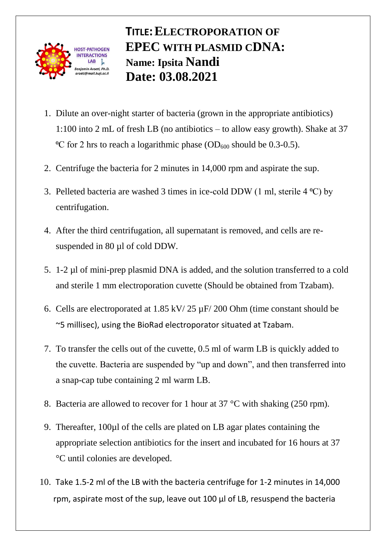

## **TITLE:ELECTROPORATION OF EPEC WITH PLASMID CDNA: Name: Ipsita Nandi Date: 03.08.2021**

- 1. Dilute an over-night starter of bacteria (grown in the appropriate antibiotics) 1:100 into 2 mL of fresh LB (no antibiotics – to allow easy growth). Shake at 37 <sup>o</sup>C for 2 hrs to reach a logarithmic phase (OD<sub>600</sub> should be 0.3-0.5).
- 2. Centrifuge the bacteria for 2 minutes in 14,000 rpm and aspirate the sup.
- 3. Pelleted bacteria are washed 3 times in ice-cold DDW (1 ml, sterile  $4 \degree C$ ) by centrifugation.
- 4. After the third centrifugation, all supernatant is removed, and cells are resuspended in 80  $\mu$ l of cold DDW.
- 5. 1-2 µl of mini-prep plasmid DNA is added, and the solution transferred to a cold and sterile 1 mm electroporation cuvette (Should be obtained from Tzabam).
- 6. Cells are electroporated at 1.85 kV/ 25 µF/ 200 Ohm (time constant should be ~5 millisec), using the BioRad electroporator situated at Tzabam.
- 7. To transfer the cells out of the cuvette, 0.5 ml of warm LB is quickly added to the cuvette. Bacteria are suspended by "up and down", and then transferred into a snap-cap tube containing 2 ml warm LB.
- 8. Bacteria are allowed to recover for 1 hour at 37 °C with shaking (250 rpm).
- 9. Thereafter, 100µl of the cells are plated on LB agar plates containing the appropriate selection antibiotics for the insert and incubated for 16 hours at 37 °C until colonies are developed.
- 10. Take 1.5-2 ml of the LB with the bacteria centrifuge for 1-2 minutes in 14,000 rpm, aspirate most of the sup, leave out 100 µl of LB, resuspend the bacteria